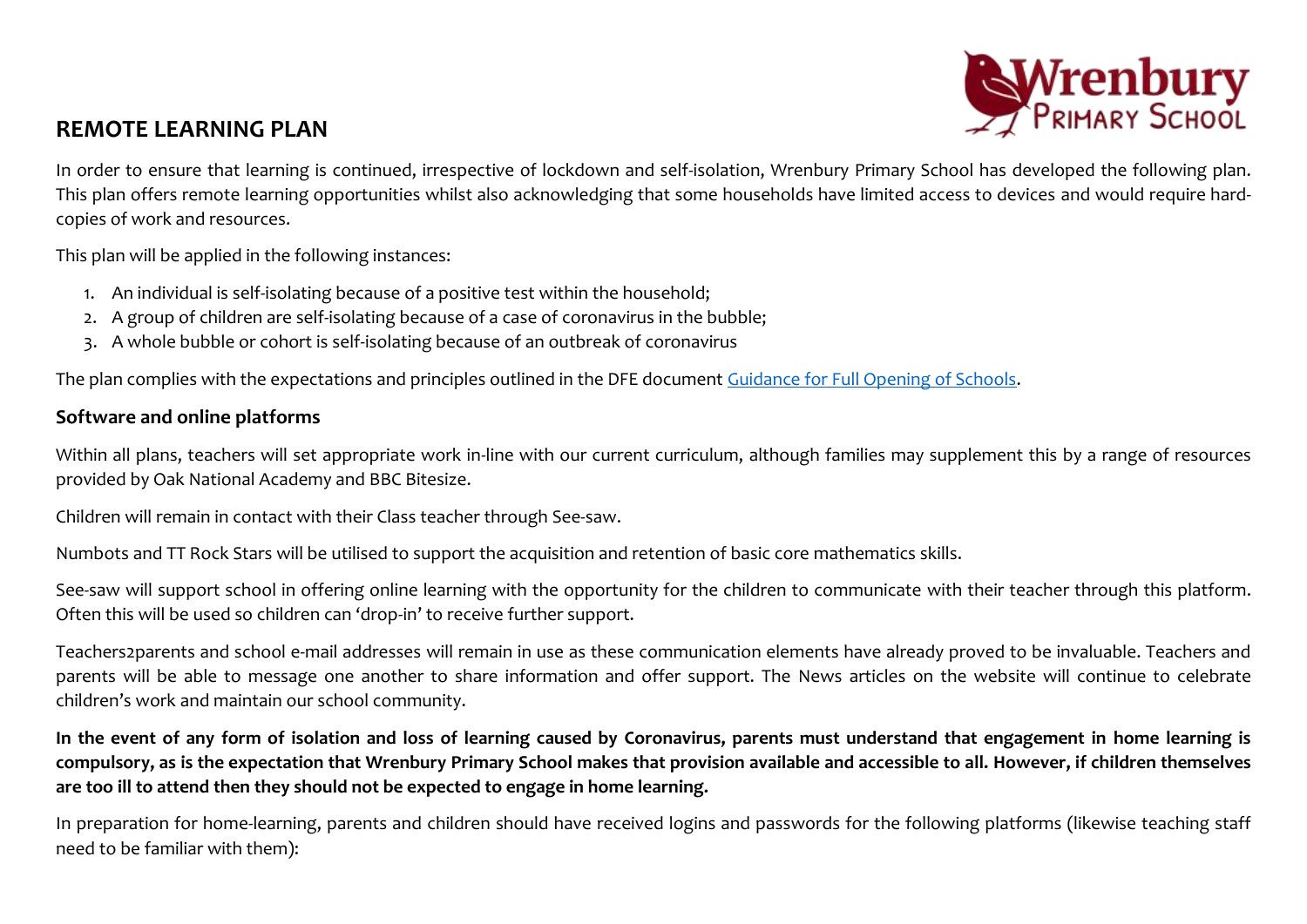

## **REMOTE LEARNING PLAN**

In order to ensure that learning is continued, irrespective of lockdown and self-isolation, Wrenbury Primary School has developed the following plan. This plan offers remote learning opportunities whilst also acknowledging that some households have limited access to devices and would require hardcopies of work and resources.

This plan will be applied in the following instances:

- 1. An individual is self-isolating because of a positive test within the household;
- 2. A group of children are self-isolating because of a case of coronavirus in the bubble;
- 3. A whole bubble or cohort is self-isolating because of an outbreak of coronavirus

The plan complies with the expectations and principles outlined in the DFE document [Guidance for Full Opening of Schools.](https://www.gov.uk/government/publications/actions-for-schools-during-the-coronavirus-outbreak/guidance-for-full-opening-schools#res)

## **Software and online platforms**

Within all plans, teachers will set appropriate work in-line with our current curriculum, although families may supplement this by a range of resources provided by Oak National Academy and BBC Bitesize.

Children will remain in contact with their Class teacher through See-saw.

Numbots and TT Rock Stars will be utilised to support the acquisition and retention of basic core mathematics skills.

See-saw will support school in offering online learning with the opportunity for the children to communicate with their teacher through this platform. Often this will be used so children can 'drop-in' to receive further support.

Teachers2parents and school e-mail addresses will remain in use as these communication elements have already proved to be invaluable. Teachers and parents will be able to message one another to share information and offer support. The News articles on the website will continue to celebrate children's work and maintain our school community.

**In the event of any form of isolation and loss of learning caused by Coronavirus, parents must understand that engagement in home learning is compulsory, as is the expectation that Wrenbury Primary School makes that provision available and accessible to all. However, if children themselves are too ill to attend then they should not be expected to engage in home learning.**

In preparation for home-learning, parents and children should have received logins and passwords for the following platforms (likewise teaching staff need to be familiar with them):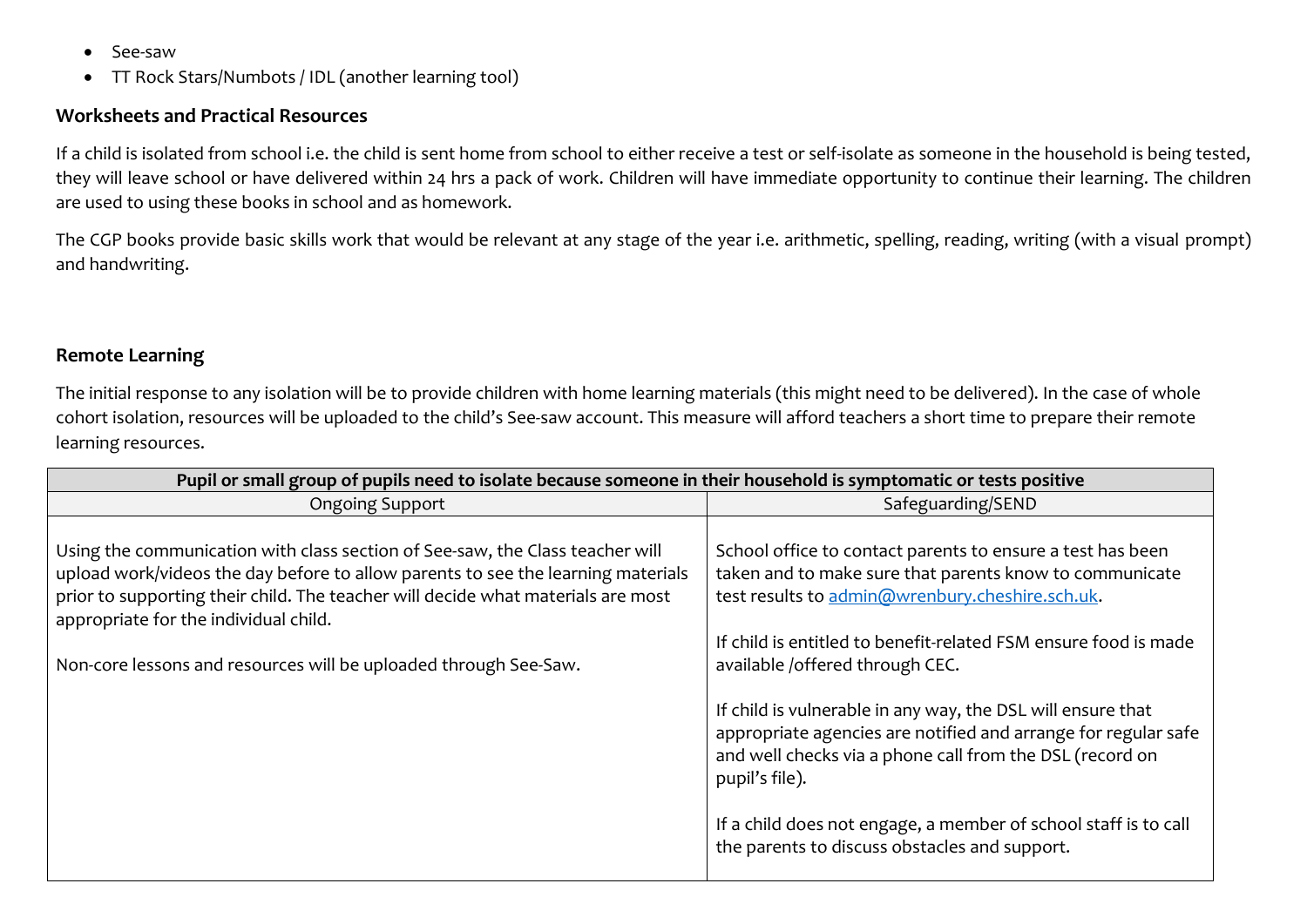- See-saw
- TT Rock Stars/Numbots / IDL (another learning tool)

## **Worksheets and Practical Resources**

If a child is isolated from school i.e. the child is sent home from school to either receive a test or self-isolate as someone in the household is being tested, they will leave school or have delivered within 24 hrs a pack of work. Children will have immediate opportunity to continue their learning. The children are used to using these books in school and as homework.

The CGP books provide basic skills work that would be relevant at any stage of the year i.e. arithmetic, spelling, reading, writing (with a visual prompt) and handwriting.

## **Remote Learning**

The initial response to any isolation will be to provide children with home learning materials (this might need to be delivered). In the case of whole cohort isolation, resources will be uploaded to the child's See-saw account. This measure will afford teachers a short time to prepare their remote learning resources.

| Pupil or small group of pupils need to isolate because someone in their household is symptomatic or tests positive                                                                                                                                                                                                                                                 |                                                                                                                                                                                                                                                                                                                                               |  |
|--------------------------------------------------------------------------------------------------------------------------------------------------------------------------------------------------------------------------------------------------------------------------------------------------------------------------------------------------------------------|-----------------------------------------------------------------------------------------------------------------------------------------------------------------------------------------------------------------------------------------------------------------------------------------------------------------------------------------------|--|
| <b>Ongoing Support</b>                                                                                                                                                                                                                                                                                                                                             | Safeguarding/SEND                                                                                                                                                                                                                                                                                                                             |  |
| Using the communication with class section of See-saw, the Class teacher will<br>upload work/videos the day before to allow parents to see the learning materials<br>prior to supporting their child. The teacher will decide what materials are most<br>appropriate for the individual child.<br>Non-core lessons and resources will be uploaded through See-Saw. | School office to contact parents to ensure a test has been<br>taken and to make sure that parents know to communicate<br>test results to admin@wrenbury.cheshire.sch.uk.<br>If child is entitled to benefit-related FSM ensure food is made<br>available /offered through CEC.<br>If child is vulnerable in any way, the DSL will ensure that |  |
|                                                                                                                                                                                                                                                                                                                                                                    | appropriate agencies are notified and arrange for regular safe<br>and well checks via a phone call from the DSL (record on<br>pupil's file).<br>If a child does not engage, a member of school staff is to call<br>the parents to discuss obstacles and support.                                                                              |  |